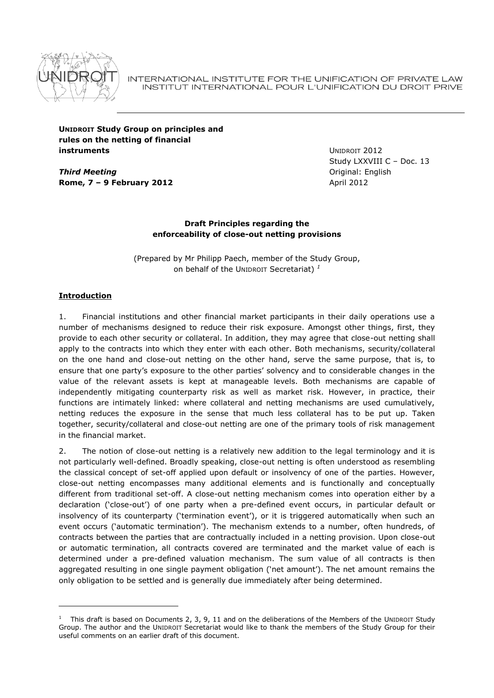

INTERNATIONAL INSTITUTE FOR THE UNIFICATION OF PRIVATE LAW INSTITUT INTERNATIONAL POUR L'UNIFICATION DU DROIT PRIVE

**UNIDROIT Study Group on principles and rules on the netting of financial instruments**

*Third Meeting* **Rome, 7 – 9 February 2012** UNIDROIT 2012 Study LXXVIII C – Doc. 13 Original: English April 2012

# **Draft Principles regarding the enforceability of close-out netting provisions**

(Prepared by Mr Philipp Paech, member of the Study Group, on behalf of the UNIDROIT Secretariat) *<sup>1</sup>*

# **Introduction**

1

1. Financial institutions and other financial market participants in their daily operations use a number of mechanisms designed to reduce their risk exposure. Amongst other things, first, they provide to each other security or collateral. In addition, they may agree that close-out netting shall apply to the contracts into which they enter with each other. Both mechanisms, security/collateral on the one hand and close-out netting on the other hand, serve the same purpose, that is, to ensure that one party's exposure to the other parties' solvency and to considerable changes in the value of the relevant assets is kept at manageable levels. Both mechanisms are capable of independently mitigating counterparty risk as well as market risk. However, in practice, their functions are intimately linked: where collateral and netting mechanisms are used cumulatively, netting reduces the exposure in the sense that much less collateral has to be put up. Taken together, security/collateral and close-out netting are one of the primary tools of risk management in the financial market.

2. The notion of close-out netting is a relatively new addition to the legal terminology and it is not particularly well-defined. Broadly speaking, close-out netting is often understood as resembling the classical concept of set-off applied upon default or insolvency of one of the parties. However, close-out netting encompasses many additional elements and is functionally and conceptually different from traditional set-off. A close-out netting mechanism comes into operation either by a declaration ('close-out') of one party when a pre-defined event occurs, in particular default or insolvency of its counterparty ('termination event'), or it is triggered automatically when such an event occurs ('automatic termination'). The mechanism extends to a number, often hundreds, of contracts between the parties that are contractually included in a netting provision. Upon close-out or automatic termination, all contracts covered are terminated and the market value of each is determined under a pre-defined valuation mechanism. The sum value of all contracts is then aggregated resulting in one single payment obligation ('net amount'). The net amount remains the only obligation to be settled and is generally due immediately after being determined.

This draft is based on Documents 2, 3, 9, 11 and on the deliberations of the Members of the UNIDROIT Study Group. The author and the UNIDROIT Secretariat would like to thank the members of the Study Group for their useful comments on an earlier draft of this document.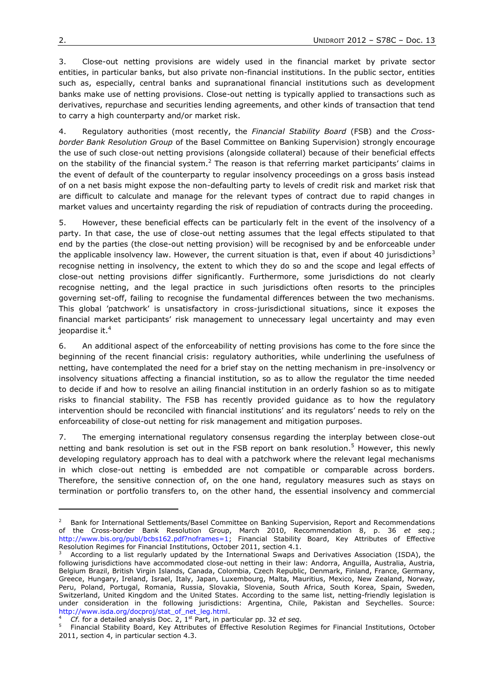3. Close-out netting provisions are widely used in the financial market by private sector entities, in particular banks, but also private non-financial institutions. In the public sector, entities such as, especially, central banks and supranational financial institutions such as development banks make use of netting provisions. Close-out netting is typically applied to transactions such as derivatives, repurchase and securities lending agreements, and other kinds of transaction that tend to carry a high counterparty and/or market risk.

4. Regulatory authorities (most recently, the *Financial Stability Board* (FSB) and the *Crossborder Bank Resolution Group* of the Basel Committee on Banking Supervision) strongly encourage the use of such close-out netting provisions (alongside collateral) because of their beneficial effects on the stability of the financial system.<sup>2</sup> The reason is that referring market participants' claims in the event of default of the counterparty to regular insolvency proceedings on a gross basis instead of on a net basis might expose the non-defaulting party to levels of credit risk and market risk that are difficult to calculate and manage for the relevant types of contract due to rapid changes in market values and uncertainty regarding the risk of repudiation of contracts during the proceeding.

5. However, these beneficial effects can be particularly felt in the event of the insolvency of a party. In that case, the use of close-out netting assumes that the legal effects stipulated to that end by the parties (the close-out netting provision) will be recognised by and be enforceable under the applicable insolvency law. However, the current situation is that, even if about 40 jurisdictions<sup>3</sup> recognise netting in insolvency, the extent to which they do so and the scope and legal effects of close-out netting provisions differ significantly. Furthermore, some jurisdictions do not clearly recognise netting, and the legal practice in such jurisdictions often resorts to the principles governing set-off, failing to recognise the fundamental differences between the two mechanisms. This global 'patchwork' is unsatisfactory in cross-jurisdictional situations, since it exposes the financial market participants' risk management to unnecessary legal uncertainty and may even jeopardise it.<sup>4</sup>

6. An additional aspect of the enforceability of netting provisions has come to the fore since the beginning of the recent financial crisis: regulatory authorities, while underlining the usefulness of netting, have contemplated the need for a brief stay on the netting mechanism in pre-insolvency or insolvency situations affecting a financial institution, so as to allow the regulator the time needed to decide if and how to resolve an ailing financial institution in an orderly fashion so as to mitigate risks to financial stability. The FSB has recently provided guidance as to how the regulatory intervention should be reconciled with financial institutions' and its regulators' needs to rely on the enforceability of close-out netting for risk management and mitigation purposes.

7. The emerging international regulatory consensus regarding the interplay between close-out netting and bank resolution is set out in the FSB report on bank resolution.<sup>5</sup> However, this newly developing regulatory approach has to deal with a patchwork where the relevant legal mechanisms in which close-out netting is embedded are not compatible or comparable across borders. Therefore, the sensitive connection of, on the one hand, regulatory measures such as stays on termination or portfolio transfers to, on the other hand, the essential insolvency and commercial

<sup>2</sup> Bank for International Settlements/Basel Committee on Banking Supervision, Report and Recommendations of the Cross-border Bank Resolution Group, March 2010, Recommendation 8, p. 36 *et seq*.; [http://www.bis.org/publ/bcbs162.pdf?noframes=1;](http://www.bis.org/publ/bcbs162.pdf?noframes=1) Financial Stability Board, Key Attributes of Effective Resolution Regimes for Financial Institutions, October 2011, section 4.1.

<sup>3</sup> According to a list regularly updated by the International Swaps and Derivatives Association (ISDA), the following jurisdictions have accommodated close-out netting in their law: Andorra, Anguilla, Australia, Austria, Belgium Brazil, British Virgin Islands, Canada, Colombia, Czech Republic, Denmark, Finland, France, Germany, Greece, Hungary, Ireland, Israel, Italy, Japan, Luxembourg, Malta, Mauritius, Mexico, New Zealand, Norway, Peru, Poland, Portugal, Romania, Russia, Slovakia, Slovenia, South Africa, South Korea, Spain, Sweden, Switzerland, United Kingdom and the United States. According to the same list, netting-friendly legislation is under consideration in the following jurisdictions: Argentina, Chile, Pakistan and Seychelles. Source: [http://www.isda.org/docproj/stat\\_of\\_net\\_leg.html.](http://www.isda.org/docproj/stat_of_net_leg.html)

*Cf.* for a detailed analysis Doc. 2, 1<sup>st</sup> Part, in particular pp. 32 *et seq.* 

<sup>5</sup> Financial Stability Board, Key Attributes of Effective Resolution Regimes for Financial Institutions, October 2011, section 4, in particular section 4.3.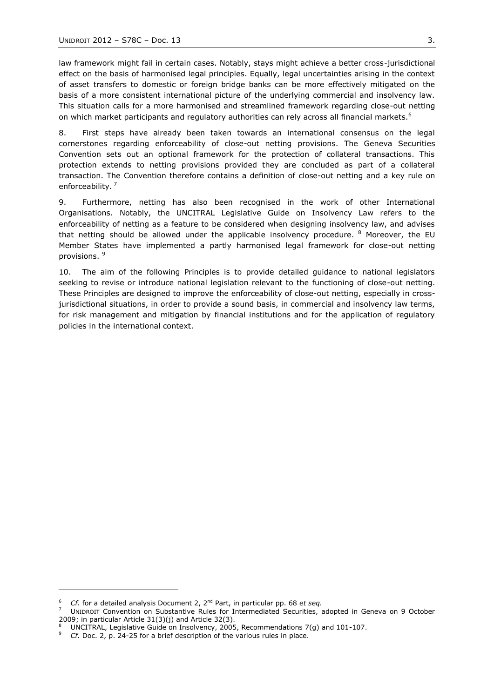law framework might fail in certain cases. Notably, stays might achieve a better cross-jurisdictional effect on the basis of harmonised legal principles. Equally, legal uncertainties arising in the context of asset transfers to domestic or foreign bridge banks can be more effectively mitigated on the basis of a more consistent international picture of the underlying commercial and insolvency law. This situation calls for a more harmonised and streamlined framework regarding close-out netting on which market participants and regulatory authorities can rely across all financial markets.<sup>6</sup>

8. First steps have already been taken towards an international consensus on the legal cornerstones regarding enforceability of close-out netting provisions. The Geneva Securities Convention sets out an optional framework for the protection of collateral transactions. This protection extends to netting provisions provided they are concluded as part of a collateral transaction. The Convention therefore contains a definition of close-out netting and a key rule on enforceability.<sup>7</sup>

9. Furthermore, netting has also been recognised in the work of other International Organisations. Notably, the UNCITRAL Legislative Guide on Insolvency Law refers to the enforceability of netting as a feature to be considered when designing insolvency law, and advises that netting should be allowed under the applicable insolvency procedure.  $8$  Moreover, the EU Member States have implemented a partly harmonised legal framework for close-out netting provisions. <sup>9</sup>

10. The aim of the following Principles is to provide detailed guidance to national legislators seeking to revise or introduce national legislation relevant to the functioning of close-out netting. These Principles are designed to improve the enforceability of close-out netting, especially in crossjurisdictional situations, in order to provide a sound basis, in commercial and insolvency law terms, for risk management and mitigation by financial institutions and for the application of regulatory policies in the international context.

1

<sup>6</sup> *Cf.* for a detailed analysis Document 2, 2nd Part, in particular pp. 68 *et seq.*

<sup>7</sup> UNIDROIT Convention on Substantive Rules for Intermediated Securities, adopted in Geneva on 9 October 2009; in particular Article 31(3)(j) and Article 32(3).

<sup>8</sup> UNCITRAL, Legislative Guide on Insolvency, 2005, Recommendations 7(g) and 101-107.

<sup>&</sup>lt;sup>9</sup> *Cf.* Doc. 2, p. 24-25 for a brief description of the various rules in place.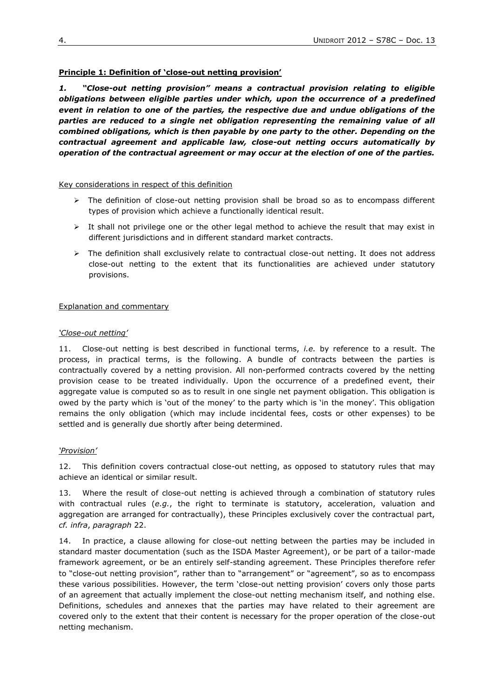# **Principle 1: Definition of 'close-out netting provision'**

*1. "Close-out netting provision" means a contractual provision relating to eligible obligations between eligible parties under which, upon the occurrence of a predefined event in relation to one of the parties, the respective due and undue obligations of the parties are reduced to a single net obligation representing the remaining value of all combined obligations, which is then payable by one party to the other. Depending on the contractual agreement and applicable law, close-out netting occurs automatically by operation of the contractual agreement or may occur at the election of one of the parties.*

### Key considerations in respect of this definition

- $\triangleright$  The definition of close-out netting provision shall be broad so as to encompass different types of provision which achieve a functionally identical result.
- $\triangleright$  It shall not privilege one or the other legal method to achieve the result that may exist in different jurisdictions and in different standard market contracts.
- $\triangleright$  The definition shall exclusively relate to contractual close-out netting. It does not address close-out netting to the extent that its functionalities are achieved under statutory provisions.

### Explanation and commentary

# *'Close-out netting'*

11. Close-out netting is best described in functional terms, *i.e.* by reference to a result. The process, in practical terms, is the following. A bundle of contracts between the parties is contractually covered by a netting provision. All non-performed contracts covered by the netting provision cease to be treated individually. Upon the occurrence of a predefined event, their aggregate value is computed so as to result in one single net payment obligation. This obligation is owed by the party which is 'out of the money' to the party which is 'in the money'. This obligation remains the only obligation (which may include incidental fees, costs or other expenses) to be settled and is generally due shortly after being determined.

# *'Provision'*

12. This definition covers contractual close-out netting, as opposed to statutory rules that may achieve an identical or similar result.

<span id="page-3-0"></span>13. Where the result of close-out netting is achieved through a combination of statutory rules with contractual rules (*e.g.*, the right to terminate is statutory, acceleration, valuation and aggregation are arranged for contractually), these Principles exclusively cover the contractual part, *cf. infra*, *paragraph* [22.](#page-5-0)

14. In practice, a clause allowing for close-out netting between the parties may be included in standard master documentation (such as the ISDA Master Agreement), or be part of a tailor-made framework agreement, or be an entirely self-standing agreement. These Principles therefore refer to "close-out netting provision", rather than to "arrangement" or "agreement", so as to encompass these various possibilities. However, the term 'close-out netting provision' covers only those parts of an agreement that actually implement the close-out netting mechanism itself, and nothing else. Definitions, schedules and annexes that the parties may have related to their agreement are covered only to the extent that their content is necessary for the proper operation of the close-out netting mechanism.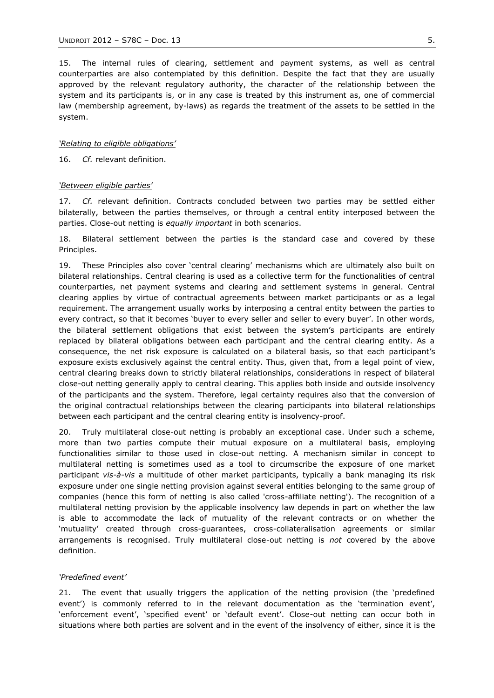15. The internal rules of clearing, settlement and payment systems, as well as central counterparties are also contemplated by this definition. Despite the fact that they are usually approved by the relevant regulatory authority, the character of the relationship between the system and its participants is, or in any case is treated by this instrument as, one of commercial law (membership agreement, by-laws) as regards the treatment of the assets to be settled in the system.

#### *'Relating to eligible obligations'*

16. *Cf.* relevant definition.

#### *'Between eligible parties'*

17. *Cf.* relevant definition. Contracts concluded between two parties may be settled either bilaterally, between the parties themselves, or through a central entity interposed between the parties. Close-out netting is *equally important* in both scenarios.

18. Bilateral settlement between the parties is the standard case and covered by these Principles.

<span id="page-4-0"></span>19. These Principles also cover 'central clearing' mechanisms which are ultimately also built on bilateral relationships. Central clearing is used as a collective term for the functionalities of central counterparties, net payment systems and clearing and settlement systems in general. Central clearing applies by virtue of contractual agreements between market participants or as a legal requirement. The arrangement usually works by interposing a central entity between the parties to every contract, so that it becomes 'buyer to every seller and seller to every buyer'. In other words, the bilateral settlement obligations that exist between the system's participants are entirely replaced by bilateral obligations between each participant and the central clearing entity. As a consequence, the net risk exposure is calculated on a bilateral basis, so that each participant's exposure exists exclusively against the central entity. Thus, given that, from a legal point of view, central clearing breaks down to strictly bilateral relationships, considerations in respect of bilateral close-out netting generally apply to central clearing. This applies both inside and outside insolvency of the participants and the system. Therefore, legal certainty requires also that the conversion of the original contractual relationships between the clearing participants into bilateral relationships between each participant and the central clearing entity is insolvency-proof.

20. Truly multilateral close-out netting is probably an exceptional case. Under such a scheme, more than two parties compute their mutual exposure on a multilateral basis, employing functionalities similar to those used in close-out netting. A mechanism similar in concept to multilateral netting is sometimes used as a tool to circumscribe the exposure of one market participant *vis-à-vis* a multitude of other market participants, typically a bank managing its risk exposure under one single netting provision against several entities belonging to the same group of companies (hence this form of netting is also called 'cross-affiliate netting'). The recognition of a multilateral netting provision by the applicable insolvency law depends in part on whether the law is able to accommodate the lack of mutuality of the relevant contracts or on whether the 'mutuality' created through cross-guarantees, cross-collateralisation agreements or similar arrangements is recognised. Truly multilateral close-out netting is *not* covered by the above definition.

#### *'Predefined event'*

21. The event that usually triggers the application of the netting provision (the 'predefined event') is commonly referred to in the relevant documentation as the 'termination event', 'enforcement event', 'specified event' or 'default event'. Close-out netting can occur both in situations where both parties are solvent and in the event of the insolvency of either, since it is the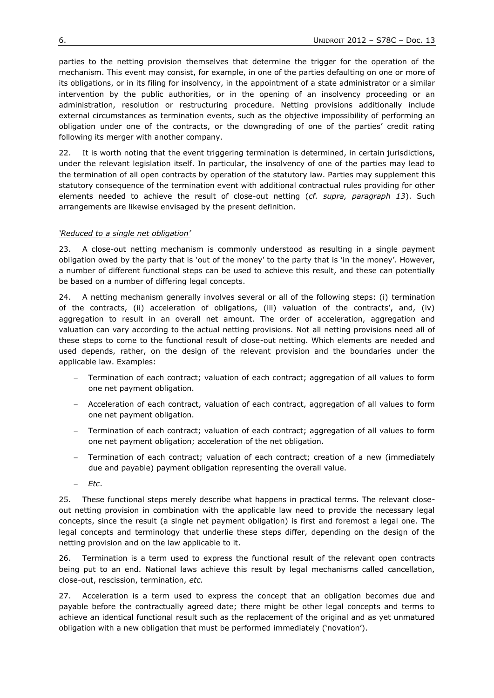parties to the netting provision themselves that determine the trigger for the operation of the mechanism. This event may consist, for example, in one of the parties defaulting on one or more of its obligations, or in its filing for insolvency, in the appointment of a state administrator or a similar intervention by the public authorities, or in the opening of an insolvency proceeding or an administration, resolution or restructuring procedure. Netting provisions additionally include external circumstances as termination events, such as the objective impossibility of performing an obligation under one of the contracts, or the downgrading of one of the parties' credit rating following its merger with another company.

<span id="page-5-0"></span>22. It is worth noting that the event triggering termination is determined, in certain jurisdictions, under the relevant legislation itself. In particular, the insolvency of one of the parties may lead to the termination of all open contracts by operation of the statutory law. Parties may supplement this statutory consequence of the termination event with additional contractual rules providing for other elements needed to achieve the result of close-out netting (*cf. supra, paragraph [13](#page-3-0)*). Such arrangements are likewise envisaged by the present definition.

### *'Reduced to a single net obligation'*

23. A close-out netting mechanism is commonly understood as resulting in a single payment obligation owed by the party that is 'out of the money' to the party that is 'in the money'. However, a number of different functional steps can be used to achieve this result, and these can potentially be based on a number of differing legal concepts.

24. A netting mechanism generally involves several or all of the following steps: (i) termination of the contracts, (ii) acceleration of obligations, (iii) valuation of the contracts', and, (iv) aggregation to result in an overall net amount. The order of acceleration, aggregation and valuation can vary according to the actual netting provisions. Not all netting provisions need all of these steps to come to the functional result of close-out netting. Which elements are needed and used depends, rather, on the design of the relevant provision and the boundaries under the applicable law. Examples:

- Termination of each contract; valuation of each contract; aggregation of all values to form one net payment obligation.
- Acceleration of each contract, valuation of each contract, aggregation of all values to form one net payment obligation.
- Termination of each contract; valuation of each contract; aggregation of all values to form one net payment obligation; acceleration of the net obligation.
- Termination of each contract; valuation of each contract; creation of a new (immediately due and payable) payment obligation representing the overall value.
- *Etc*.

25. These functional steps merely describe what happens in practical terms. The relevant closeout netting provision in combination with the applicable law need to provide the necessary legal concepts, since the result (a single net payment obligation) is first and foremost a legal one. The legal concepts and terminology that underlie these steps differ, depending on the design of the netting provision and on the law applicable to it.

26. Termination is a term used to express the functional result of the relevant open contracts being put to an end. National laws achieve this result by legal mechanisms called cancellation, close-out, rescission, termination, *etc.*

27. Acceleration is a term used to express the concept that an obligation becomes due and payable before the contractually agreed date; there might be other legal concepts and terms to achieve an identical functional result such as the replacement of the original and as yet unmatured obligation with a new obligation that must be performed immediately ('novation').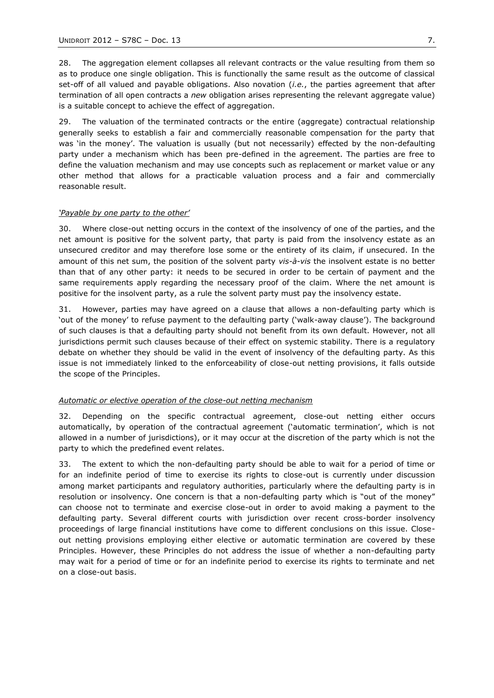28. The aggregation element collapses all relevant contracts or the value resulting from them so as to produce one single obligation. This is functionally the same result as the outcome of classical set-off of all valued and payable obligations. Also novation (*i.e.*, the parties agreement that after termination of all open contracts a *new* obligation arises representing the relevant aggregate value) is a suitable concept to achieve the effect of aggregation.

29. The valuation of the terminated contracts or the entire (aggregate) contractual relationship generally seeks to establish a fair and commercially reasonable compensation for the party that was 'in the money'. The valuation is usually (but not necessarily) effected by the non-defaulting party under a mechanism which has been pre-defined in the agreement. The parties are free to define the valuation mechanism and may use concepts such as replacement or market value or any other method that allows for a practicable valuation process and a fair and commercially reasonable result.

#### *'Payable by one party to the other'*

30. Where close-out netting occurs in the context of the insolvency of one of the parties, and the net amount is positive for the solvent party, that party is paid from the insolvency estate as an unsecured creditor and may therefore lose some or the entirety of its claim, if unsecured. In the amount of this net sum, the position of the solvent party *vis-à-vis* the insolvent estate is no better than that of any other party: it needs to be secured in order to be certain of payment and the same requirements apply regarding the necessary proof of the claim. Where the net amount is positive for the insolvent party, as a rule the solvent party must pay the insolvency estate.

However, parties may have agreed on a clause that allows a non-defaulting party which is 'out of the money' to refuse payment to the defaulting party ('walk-away clause'). The background of such clauses is that a defaulting party should not benefit from its own default. However, not all jurisdictions permit such clauses because of their effect on systemic stability. There is a regulatory debate on whether they should be valid in the event of insolvency of the defaulting party. As this issue is not immediately linked to the enforceability of close-out netting provisions, it falls outside the scope of the Principles.

#### *Automatic or elective operation of the close-out netting mechanism*

32. Depending on the specific contractual agreement, close-out netting either occurs automatically, by operation of the contractual agreement ('automatic termination', which is not allowed in a number of jurisdictions), or it may occur at the discretion of the party which is not the party to which the predefined event relates.

33. The extent to which the non-defaulting party should be able to wait for a period of time or for an indefinite period of time to exercise its rights to close-out is currently under discussion among market participants and regulatory authorities, particularly where the defaulting party is in resolution or insolvency. One concern is that a non-defaulting party which is "out of the money" can choose not to terminate and exercise close-out in order to avoid making a payment to the defaulting party. Several different courts with jurisdiction over recent cross-border insolvency proceedings of large financial institutions have come to different conclusions on this issue. Closeout netting provisions employing either elective or automatic termination are covered by these Principles. However, these Principles do not address the issue of whether a non-defaulting party may wait for a period of time or for an indefinite period to exercise its rights to terminate and net on a close-out basis.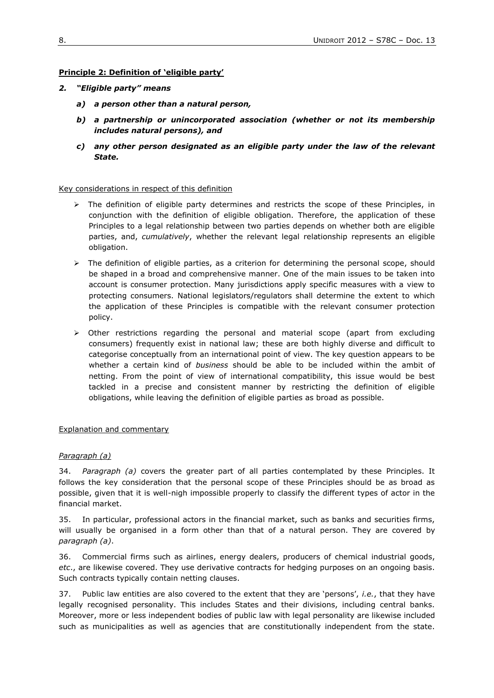# **Principle 2: Definition of 'eligible party'**

- *2. "Eligible party" means*
	- *a) a person other than a natural person,*
	- *b) a partnership or unincorporated association (whether or not its membership includes natural persons), and*
	- *c) any other person designated as an eligible party under the law of the relevant State.*

### Key considerations in respect of this definition

- $\triangleright$  The definition of eligible party determines and restricts the scope of these Principles, in conjunction with the definition of eligible obligation. Therefore, the application of these Principles to a legal relationship between two parties depends on whether both are eligible parties, and, *cumulatively*, whether the relevant legal relationship represents an eligible obligation.
- $\triangleright$  The definition of eligible parties, as a criterion for determining the personal scope, should be shaped in a broad and comprehensive manner. One of the main issues to be taken into account is consumer protection. Many jurisdictions apply specific measures with a view to protecting consumers. National legislators/regulators shall determine the extent to which the application of these Principles is compatible with the relevant consumer protection policy.
- $\triangleright$  Other restrictions regarding the personal and material scope (apart from excluding consumers) frequently exist in national law; these are both highly diverse and difficult to categorise conceptually from an international point of view. The key question appears to be whether a certain kind of *business* should be able to be included within the ambit of netting. From the point of view of international compatibility, this issue would be best tackled in a precise and consistent manner by restricting the definition of eligible obligations, while leaving the definition of eligible parties as broad as possible.

# Explanation and commentary

# *Paragraph (a)*

34. *Paragraph (a)* covers the greater part of all parties contemplated by these Principles. It follows the key consideration that the personal scope of these Principles should be as broad as possible, given that it is well-nigh impossible properly to classify the different types of actor in the financial market.

35. In particular, professional actors in the financial market, such as banks and securities firms, will usually be organised in a form other than that of a natural person. They are covered by *paragraph (a)*.

36. Commercial firms such as airlines, energy dealers, producers of chemical industrial goods, *etc*., are likewise covered. They use derivative contracts for hedging purposes on an ongoing basis. Such contracts typically contain netting clauses.

37. Public law entities are also covered to the extent that they are 'persons', *i.e.*, that they have legally recognised personality. This includes States and their divisions, including central banks. Moreover, more or less independent bodies of public law with legal personality are likewise included such as municipalities as well as agencies that are constitutionally independent from the state.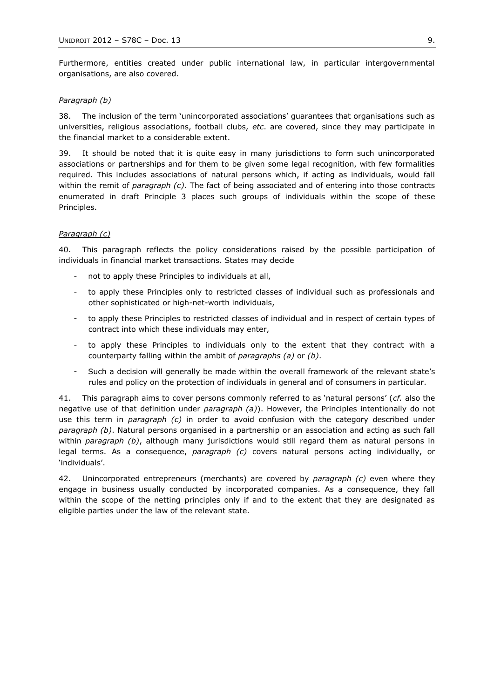Furthermore, entities created under public international law, in particular intergovernmental organisations, are also covered.

#### *Paragraph (b)*

38. The inclusion of the term 'unincorporated associations' guarantees that organisations such as universities, religious associations, football clubs, *etc*. are covered, since they may participate in the financial market to a considerable extent.

39. It should be noted that it is quite easy in many jurisdictions to form such unincorporated associations or partnerships and for them to be given some legal recognition, with few formalities required. This includes associations of natural persons which, if acting as individuals, would fall within the remit of *paragraph (c)*. The fact of being associated and of entering into those contracts enumerated in draft Principle 3 places such groups of individuals within the scope of these Principles.

#### *Paragraph (c)*

40. This paragraph reflects the policy considerations raised by the possible participation of individuals in financial market transactions. States may decide

- not to apply these Principles to individuals at all,
- to apply these Principles only to restricted classes of individual such as professionals and other sophisticated or high-net-worth individuals,
- to apply these Principles to restricted classes of individual and in respect of certain types of contract into which these individuals may enter,
- to apply these Principles to individuals only to the extent that they contract with a counterparty falling within the ambit of *paragraphs (a)* or *(b)*.
- Such a decision will generally be made within the overall framework of the relevant state's rules and policy on the protection of individuals in general and of consumers in particular.

41. This paragraph aims to cover persons commonly referred to as 'natural persons' (*cf.* also the negative use of that definition under *paragraph (a)*). However, the Principles intentionally do not use this term in *paragraph (c)* in order to avoid confusion with the category described under *paragraph (b)*. Natural persons organised in a partnership or an association and acting as such fall within *paragraph (b)*, although many jurisdictions would still regard them as natural persons in legal terms. As a consequence, *paragraph (c)* covers natural persons acting individually, or 'individuals'.

42. Unincorporated entrepreneurs (merchants) are covered by *paragraph (c)* even where they engage in business usually conducted by incorporated companies. As a consequence, they fall within the scope of the netting principles only if and to the extent that they are designated as eligible parties under the law of the relevant state.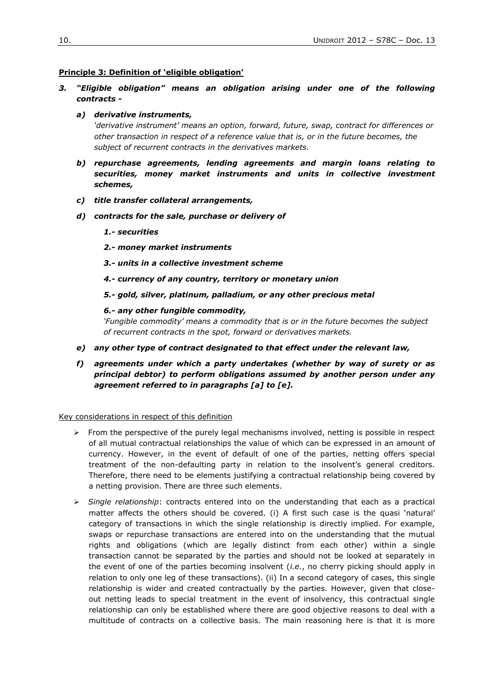### **Principle 3: Definition of 'eligible obligation'**

- *3. "Eligible obligation" means an obligation arising under one of the following contracts* 
	- *a) derivative instruments,*

*'derivative instrument' means an option, forward, future, swap, contract for differences or other transaction in respect of a reference value that is, or in the future becomes, the subject of recurrent contracts in the derivatives markets.*

- *b) repurchase agreements, lending agreements and margin loans relating to securities, money market instruments and units in collective investment schemes,*
- *c) title transfer collateral arrangements,*
- *d) contracts for the sale, purchase or delivery of*
	- *1.- securities*
	- *2.- money market instruments*
	- *3.- units in a collective investment scheme*
	- *4.- currency of any country, territory or monetary union*
	- *5.- gold, silver, platinum, palladium, or any other precious metal*
	- *6.- any other fungible commodity,*

*'Fungible commodity' means a commodity that is or in the future becomes the subject of recurrent contracts in the spot, forward or derivatives markets.*

- *e) any other type of contract designated to that effect under the relevant law,*
- *f) agreements under which a party undertakes (whether by way of surety or as principal debtor) to perform obligations assumed by another person under any agreement referred to in paragraphs [a] to [e].*

### Key considerations in respect of this definition

- $\triangleright$  From the perspective of the purely legal mechanisms involved, netting is possible in respect of all mutual contractual relationships the value of which can be expressed in an amount of currency. However, in the event of default of one of the parties, netting offers special treatment of the non-defaulting party in relation to the insolvent's general creditors. Therefore, there need to be elements justifying a contractual relationship being covered by a netting provision. There are three such elements.
- *Single relationship*: contracts entered into on the understanding that each as a practical matter affects the others should be covered. (i) A first such case is the quasi 'natural' category of transactions in which the single relationship is directly implied. For example, swaps or repurchase transactions are entered into on the understanding that the mutual rights and obligations (which are legally distinct from each other) within a single transaction cannot be separated by the parties and should not be looked at separately in the event of one of the parties becoming insolvent (*i.e.*, no cherry picking should apply in relation to only one leg of these transactions). (ii) In a second category of cases, this single relationship is wider and created contractually by the parties. However, given that closeout netting leads to special treatment in the event of insolvency, this contractual single relationship can only be established where there are good objective reasons to deal with a multitude of contracts on a collective basis. The main reasoning here is that it is more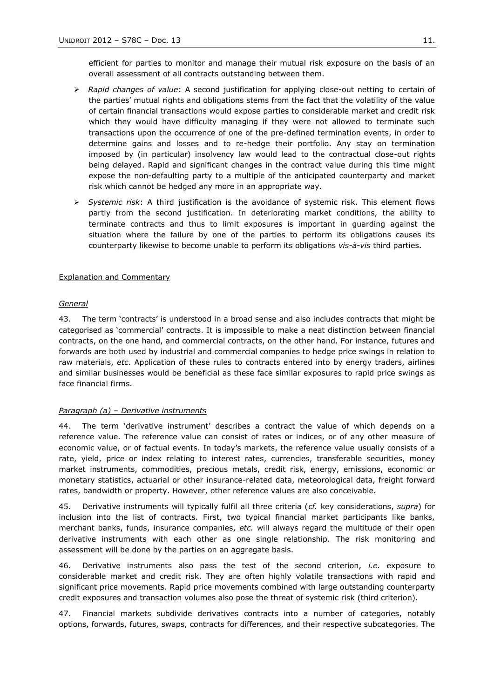efficient for parties to monitor and manage their mutual risk exposure on the basis of an overall assessment of all contracts outstanding between them.

- *Rapid changes of value*: A second justification for applying close-out netting to certain of the parties' mutual rights and obligations stems from the fact that the volatility of the value of certain financial transactions would expose parties to considerable market and credit risk which they would have difficulty managing if they were not allowed to terminate such transactions upon the occurrence of one of the pre-defined termination events, in order to determine gains and losses and to re-hedge their portfolio. Any stay on termination imposed by (in particular) insolvency law would lead to the contractual close-out rights being delayed. Rapid and significant changes in the contract value during this time might expose the non-defaulting party to a multiple of the anticipated counterparty and market risk which cannot be hedged any more in an appropriate way.
- *Systemic risk*: A third justification is the avoidance of systemic risk. This element flows partly from the second justification. In deteriorating market conditions, the ability to terminate contracts and thus to limit exposures is important in guarding against the situation where the failure by one of the parties to perform its obligations causes its counterparty likewise to become unable to perform its obligations *vis-à-vis* third parties.

### Explanation and Commentary

#### *General*

43. The term 'contracts' is understood in a broad sense and also includes contracts that might be categorised as 'commercial' contracts. It is impossible to make a neat distinction between financial contracts, on the one hand, and commercial contracts, on the other hand. For instance, futures and forwards are both used by industrial and commercial companies to hedge price swings in relation to raw materials, *etc*. Application of these rules to contracts entered into by energy traders, airlines and similar businesses would be beneficial as these face similar exposures to rapid price swings as face financial firms.

### *Paragraph (a) – Derivative instruments*

44. The term 'derivative instrument' describes a contract the value of which depends on a reference value. The reference value can consist of rates or indices, or of any other measure of economic value, or of factual events. In today's markets, the reference value usually consists of a rate, yield, price or index relating to interest rates, currencies, transferable securities, money market instruments, commodities, precious metals, credit risk, energy, emissions, economic or monetary statistics, actuarial or other insurance-related data, meteorological data, freight forward rates, bandwidth or property. However, other reference values are also conceivable.

45. Derivative instruments will typically fulfil all three criteria (*cf.* key considerations, *supra*) for inclusion into the list of contracts. First, two typical financial market participants like banks, merchant banks, funds, insurance companies, *etc.* will always regard the multitude of their open derivative instruments with each other as one single relationship. The risk monitoring and assessment will be done by the parties on an aggregate basis.

46. Derivative instruments also pass the test of the second criterion, *i.e.* exposure to considerable market and credit risk. They are often highly volatile transactions with rapid and significant price movements. Rapid price movements combined with large outstanding counterparty credit exposures and transaction volumes also pose the threat of systemic risk (third criterion).

47. Financial markets subdivide derivatives contracts into a number of categories, notably options, forwards, futures, swaps, contracts for differences, and their respective subcategories. The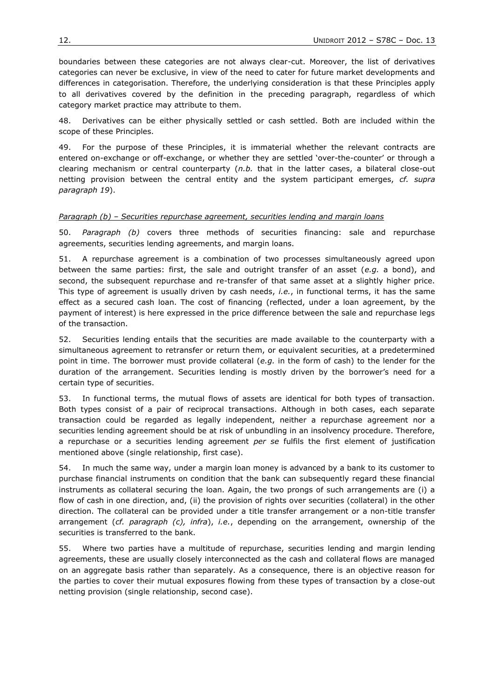boundaries between these categories are not always clear-cut. Moreover, the list of derivatives categories can never be exclusive, in view of the need to cater for future market developments and differences in categorisation. Therefore, the underlying consideration is that these Principles apply to all derivatives covered by the definition in the preceding paragraph, regardless of which category market practice may attribute to them.

48. Derivatives can be either physically settled or cash settled. Both are included within the scope of these Principles.

49. For the purpose of these Principles, it is immaterial whether the relevant contracts are entered on-exchange or off-exchange, or whether they are settled 'over-the-counter' or through a clearing mechanism or central counterparty (*n.b.* that in the latter cases, a bilateral close-out netting provision between the central entity and the system participant emerges, *cf. supra paragraph [19](#page-4-0)*).

#### *Paragraph (b) – Securities repurchase agreement, securities lending and margin loans*

50. *Paragraph (b)* covers three methods of securities financing: sale and repurchase agreements, securities lending agreements, and margin loans.

51. A repurchase agreement is a combination of two processes simultaneously agreed upon between the same parties: first, the sale and outright transfer of an asset (*e.g.* a bond), and second, the subsequent repurchase and re-transfer of that same asset at a slightly higher price. This type of agreement is usually driven by cash needs, *i.e.*, in functional terms, it has the same effect as a secured cash loan. The cost of financing (reflected, under a loan agreement, by the payment of interest) is here expressed in the price difference between the sale and repurchase legs of the transaction.

52. Securities lending entails that the securities are made available to the counterparty with a simultaneous agreement to retransfer or return them, or equivalent securities, at a predetermined point in time. The borrower must provide collateral (*e.g.* in the form of cash) to the lender for the duration of the arrangement. Securities lending is mostly driven by the borrower's need for a certain type of securities.

53. In functional terms, the mutual flows of assets are identical for both types of transaction. Both types consist of a pair of reciprocal transactions. Although in both cases, each separate transaction could be regarded as legally independent, neither a repurchase agreement nor a securities lending agreement should be at risk of unbundling in an insolvency procedure. Therefore, a repurchase or a securities lending agreement *per se* fulfils the first element of justification mentioned above (single relationship, first case).

54. In much the same way, under a margin loan money is advanced by a bank to its customer to purchase financial instruments on condition that the bank can subsequently regard these financial instruments as collateral securing the loan. Again, the two prongs of such arrangements are (i) a flow of cash in one direction, and, (ii) the provision of rights over securities (collateral) in the other direction. The collateral can be provided under a title transfer arrangement or a non-title transfer arrangement (*cf. paragraph (c), infra*), *i.e.*, depending on the arrangement, ownership of the securities is transferred to the bank.

55. Where two parties have a multitude of repurchase, securities lending and margin lending agreements, these are usually closely interconnected as the cash and collateral flows are managed on an aggregate basis rather than separately. As a consequence, there is an objective reason for the parties to cover their mutual exposures flowing from these types of transaction by a close-out netting provision (single relationship, second case).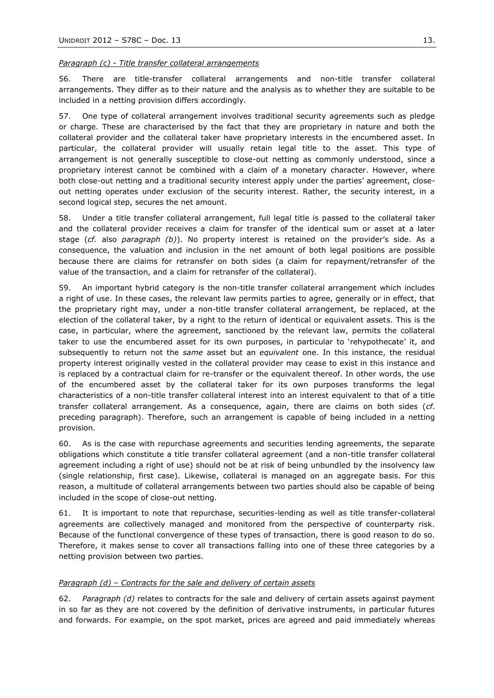#### *Paragraph (c) - Title transfer collateral arrangements*

56. There are title-transfer collateral arrangements and non-title transfer collateral arrangements. They differ as to their nature and the analysis as to whether they are suitable to be included in a netting provision differs accordingly.

57. One type of collateral arrangement involves traditional security agreements such as pledge or charge. These are characterised by the fact that they are proprietary in nature and both the collateral provider and the collateral taker have proprietary interests in the encumbered asset. In particular, the collateral provider will usually retain legal title to the asset. This type of arrangement is not generally susceptible to close-out netting as commonly understood, since a proprietary interest cannot be combined with a claim of a monetary character. However, where both close-out netting and a traditional security interest apply under the parties' agreement, closeout netting operates under exclusion of the security interest. Rather, the security interest, in a second logical step, secures the net amount.

58. Under a title transfer collateral arrangement, full legal title is passed to the collateral taker and the collateral provider receives a claim for transfer of the identical sum or asset at a later stage (*cf.* also *paragraph (b)*). No property interest is retained on the provider's side. As a consequence, the valuation and inclusion in the net amount of both legal positions are possible because there are claims for retransfer on both sides (a claim for repayment/retransfer of the value of the transaction, and a claim for retransfer of the collateral).

59. An important hybrid category is the non-title transfer collateral arrangement which includes a right of use. In these cases, the relevant law permits parties to agree, generally or in effect, that the proprietary right may, under a non-title transfer collateral arrangement, be replaced, at the election of the collateral taker, by a right to the return of identical or equivalent assets. This is the case, in particular, where the agreement, sanctioned by the relevant law, permits the collateral taker to use the encumbered asset for its own purposes, in particular to 'rehypothecate' it, and subsequently to return not the *same* asset but an *equivalent* one. In this instance, the residual property interest originally vested in the collateral provider may cease to exist in this instance and is replaced by a contractual claim for re-transfer or the equivalent thereof. In other words, the use of the encumbered asset by the collateral taker for its own purposes transforms the legal characteristics of a non-title transfer collateral interest into an interest equivalent to that of a title transfer collateral arrangement. As a consequence, again, there are claims on both sides (*cf*. preceding paragraph). Therefore, such an arrangement is capable of being included in a netting provision.

60. As is the case with repurchase agreements and securities lending agreements, the separate obligations which constitute a title transfer collateral agreement (and a non-title transfer collateral agreement including a right of use) should not be at risk of being unbundled by the insolvency law (single relationship, first case). Likewise, collateral is managed on an aggregate basis. For this reason, a multitude of collateral arrangements between two parties should also be capable of being included in the scope of close-out netting.

61. It is important to note that repurchase, securities-lending as well as title transfer-collateral agreements are collectively managed and monitored from the perspective of counterparty risk. Because of the functional convergence of these types of transaction, there is good reason to do so. Therefore, it makes sense to cover all transactions falling into one of these three categories by a netting provision between two parties.

#### *Paragraph (d) – Contracts for the sale and delivery of certain assets*

62. *Paragraph (d)* relates to contracts for the sale and delivery of certain assets against payment in so far as they are not covered by the definition of derivative instruments, in particular futures and forwards. For example, on the spot market, prices are agreed and paid immediately whereas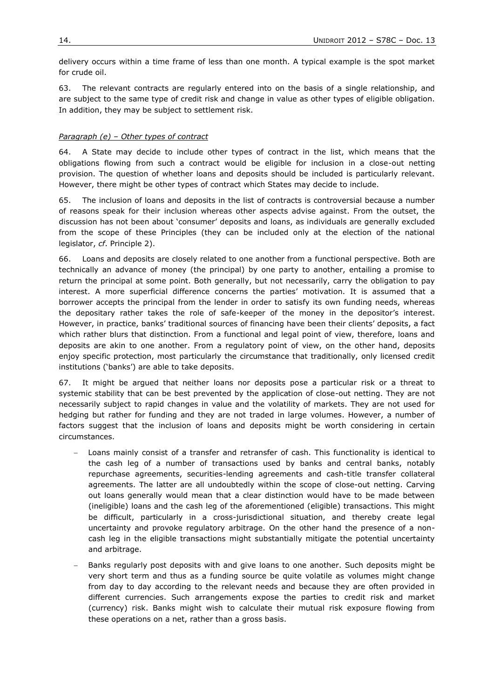delivery occurs within a time frame of less than one month. A typical example is the spot market for crude oil.

63. The relevant contracts are regularly entered into on the basis of a single relationship, and are subject to the same type of credit risk and change in value as other types of eligible obligation. In addition, they may be subject to settlement risk.

# *Paragraph (e) – Other types of contract*

64. A State may decide to include other types of contract in the list, which means that the obligations flowing from such a contract would be eligible for inclusion in a close-out netting provision. The question of whether loans and deposits should be included is particularly relevant. However, there might be other types of contract which States may decide to include.

65. The inclusion of loans and deposits in the list of contracts is controversial because a number of reasons speak for their inclusion whereas other aspects advise against. From the outset, the discussion has not been about 'consumer' deposits and loans, as individuals are generally excluded from the scope of these Principles (they can be included only at the election of the national legislator, *cf*. Principle 2).

66. Loans and deposits are closely related to one another from a functional perspective. Both are technically an advance of money (the principal) by one party to another, entailing a promise to return the principal at some point. Both generally, but not necessarily, carry the obligation to pay interest. A more superficial difference concerns the parties' motivation. It is assumed that a borrower accepts the principal from the lender in order to satisfy its own funding needs, whereas the depositary rather takes the role of safe-keeper of the money in the depositor's interest. However, in practice, banks' traditional sources of financing have been their clients' deposits, a fact which rather blurs that distinction. From a functional and legal point of view, therefore, loans and deposits are akin to one another. From a regulatory point of view, on the other hand, deposits enjoy specific protection, most particularly the circumstance that traditionally, only licensed credit institutions ('banks') are able to take deposits.

67. It might be argued that neither loans nor deposits pose a particular risk or a threat to systemic stability that can be best prevented by the application of close-out netting. They are not necessarily subject to rapid changes in value and the volatility of markets. They are not used for hedging but rather for funding and they are not traded in large volumes. However, a number of factors suggest that the inclusion of loans and deposits might be worth considering in certain circumstances.

- Loans mainly consist of a transfer and retransfer of cash. This functionality is identical to the cash leg of a number of transactions used by banks and central banks, notably repurchase agreements, securities-lending agreements and cash-title transfer collateral agreements. The latter are all undoubtedly within the scope of close-out netting. Carving out loans generally would mean that a clear distinction would have to be made between (ineligible) loans and the cash leg of the aforementioned (eligible) transactions. This might be difficult, particularly in a cross-jurisdictional situation, and thereby create legal uncertainty and provoke regulatory arbitrage. On the other hand the presence of a noncash leg in the eligible transactions might substantially mitigate the potential uncertainty and arbitrage.
- Banks regularly post deposits with and give loans to one another. Such deposits might be very short term and thus as a funding source be quite volatile as volumes might change from day to day according to the relevant needs and because they are often provided in different currencies. Such arrangements expose the parties to credit risk and market (currency) risk. Banks might wish to calculate their mutual risk exposure flowing from these operations on a net, rather than a gross basis.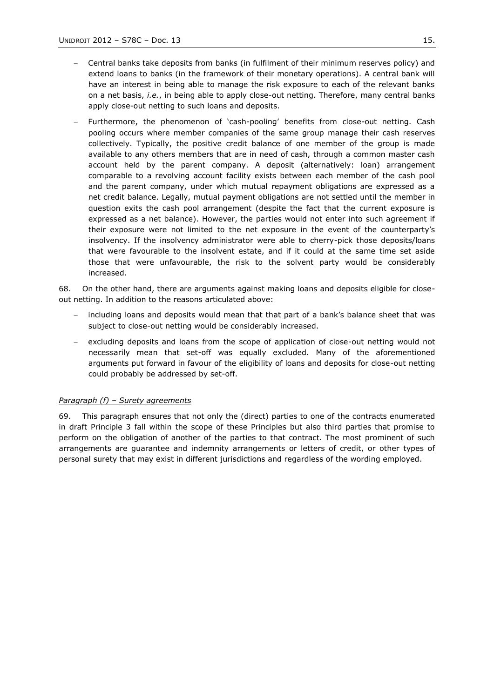- Central banks take deposits from banks (in fulfilment of their minimum reserves policy) and extend loans to banks (in the framework of their monetary operations). A central bank will have an interest in being able to manage the risk exposure to each of the relevant banks on a net basis, *i.e.*, in being able to apply close-out netting. Therefore, many central banks apply close-out netting to such loans and deposits.
- Furthermore, the phenomenon of 'cash-pooling' benefits from close-out netting. Cash pooling occurs where member companies of the same group manage their cash reserves collectively. Typically, the positive credit balance of one member of the group is made available to any others members that are in need of cash, through a common master cash account held by the parent company. A deposit (alternatively: loan) arrangement comparable to a revolving account facility exists between each member of the cash pool and the parent company, under which mutual repayment obligations are expressed as a net credit balance. Legally, mutual payment obligations are not settled until the member in question exits the cash pool arrangement (despite the fact that the current exposure is expressed as a net balance). However, the parties would not enter into such agreement if their exposure were not limited to the net exposure in the event of the counterparty's insolvency. If the insolvency administrator were able to cherry-pick those deposits/loans that were favourable to the insolvent estate, and if it could at the same time set aside those that were unfavourable, the risk to the solvent party would be considerably increased.

68. On the other hand, there are arguments against making loans and deposits eligible for closeout netting. In addition to the reasons articulated above:

- including loans and deposits would mean that that part of a bank's balance sheet that was subject to close-out netting would be considerably increased.
- excluding deposits and loans from the scope of application of close-out netting would not necessarily mean that set-off was equally excluded. Many of the aforementioned arguments put forward in favour of the eligibility of loans and deposits for close-out netting could probably be addressed by set-off.

### *Paragraph (f) – Surety agreements*

69. This paragraph ensures that not only the (direct) parties to one of the contracts enumerated in draft Principle 3 fall within the scope of these Principles but also third parties that promise to perform on the obligation of another of the parties to that contract. The most prominent of such arrangements are guarantee and indemnity arrangements or letters of credit, or other types of personal surety that may exist in different jurisdictions and regardless of the wording employed.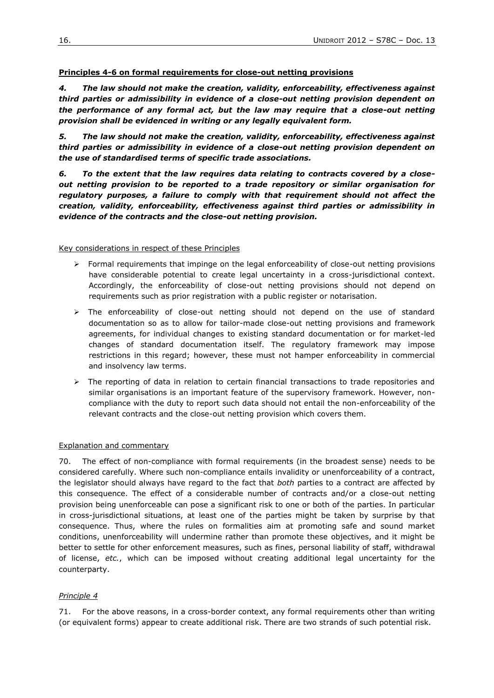# **Principles 4-6 on formal requirements for close-out netting provisions**

*4. The law should not make the creation, validity, enforceability, effectiveness against third parties or admissibility in evidence of a close-out netting provision dependent on the performance of any formal act, but the law may require that a close-out netting provision shall be evidenced in writing or any legally equivalent form.*

*5. The law should not make the creation, validity, enforceability, effectiveness against third parties or admissibility in evidence of a close-out netting provision dependent on the use of standardised terms of specific trade associations.*

*6. To the extent that the law requires data relating to contracts covered by a closeout netting provision to be reported to a trade repository or similar organisation for regulatory purposes, a failure to comply with that requirement should not affect the creation, validity, enforceability, effectiveness against third parties or admissibility in evidence of the contracts and the close-out netting provision.*

#### Key considerations in respect of these Principles

- $\triangleright$  Formal requirements that impinge on the legal enforceability of close-out netting provisions have considerable potential to create legal uncertainty in a cross-jurisdictional context. Accordingly, the enforceability of close-out netting provisions should not depend on requirements such as prior registration with a public register or notarisation.
- $\triangleright$  The enforceability of close-out netting should not depend on the use of standard documentation so as to allow for tailor-made close-out netting provisions and framework agreements, for individual changes to existing standard documentation or for market-led changes of standard documentation itself. The regulatory framework may impose restrictions in this regard; however, these must not hamper enforceability in commercial and insolvency law terms.
- $\triangleright$  The reporting of data in relation to certain financial transactions to trade repositories and similar organisations is an important feature of the supervisory framework. However, noncompliance with the duty to report such data should not entail the non-enforceability of the relevant contracts and the close-out netting provision which covers them.

### Explanation and commentary

70. The effect of non-compliance with formal requirements (in the broadest sense) needs to be considered carefully. Where such non-compliance entails invalidity or unenforceability of a contract, the legislator should always have regard to the fact that *both* parties to a contract are affected by this consequence. The effect of a considerable number of contracts and/or a close-out netting provision being unenforceable can pose a significant risk to one or both of the parties. In particular in cross-jurisdictional situations, at least one of the parties might be taken by surprise by that consequence. Thus, where the rules on formalities aim at promoting safe and sound market conditions, unenforceability will undermine rather than promote these objectives, and it might be better to settle for other enforcement measures, such as fines, personal liability of staff, withdrawal of license, *etc.*, which can be imposed without creating additional legal uncertainty for the counterparty.

# *Principle 4*

71. For the above reasons, in a cross-border context, any formal requirements other than writing (or equivalent forms) appear to create additional risk. There are two strands of such potential risk.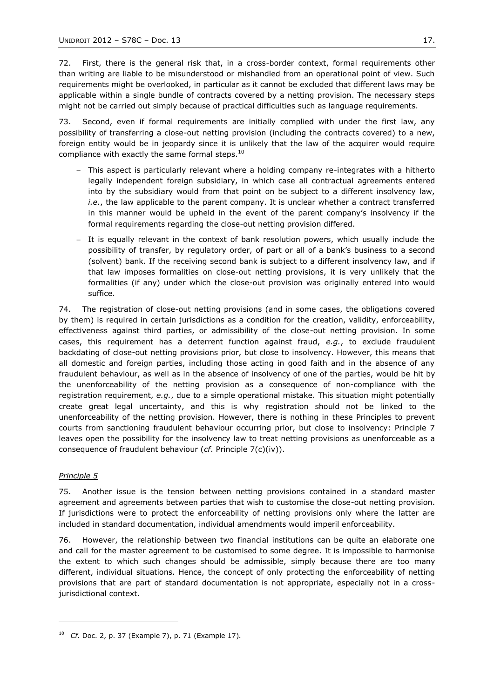72. First, there is the general risk that, in a cross-border context, formal requirements other than writing are liable to be misunderstood or mishandled from an operational point of view. Such requirements might be overlooked, in particular as it cannot be excluded that different laws may be applicable within a single bundle of contracts covered by a netting provision. The necessary steps might not be carried out simply because of practical difficulties such as language requirements.

73. Second, even if formal requirements are initially complied with under the first law, any possibility of transferring a close-out netting provision (including the contracts covered) to a new, foreign entity would be in jeopardy since it is unlikely that the law of the acquirer would require compliance with exactly the same formal steps.<sup>10</sup>

- This aspect is particularly relevant where a holding company re-integrates with a hitherto legally independent foreign subsidiary, in which case all contractual agreements entered into by the subsidiary would from that point on be subject to a different insolvency law, *i.e.*, the law applicable to the parent company. It is unclear whether a contract transferred in this manner would be upheld in the event of the parent company's insolvency if the formal requirements regarding the close-out netting provision differed.
- It is equally relevant in the context of bank resolution powers, which usually include the possibility of transfer, by regulatory order, of part or all of a bank's business to a second (solvent) bank. If the receiving second bank is subject to a different insolvency law, and if that law imposes formalities on close-out netting provisions, it is very unlikely that the formalities (if any) under which the close-out provision was originally entered into would suffice.

74. The registration of close-out netting provisions (and in some cases, the obligations covered by them) is required in certain jurisdictions as a condition for the creation, validity, enforceability, effectiveness against third parties, or admissibility of the close-out netting provision. In some cases, this requirement has a deterrent function against fraud, *e.g.*, to exclude fraudulent backdating of close-out netting provisions prior, but close to insolvency. However, this means that all domestic and foreign parties, including those acting in good faith and in the absence of any fraudulent behaviour, as well as in the absence of insolvency of one of the parties, would be hit by the unenforceability of the netting provision as a consequence of non-compliance with the registration requirement, *e.g.*, due to a simple operational mistake. This situation might potentially create great legal uncertainty, and this is why registration should not be linked to the unenforceability of the netting provision. However, there is nothing in these Principles to prevent courts from sanctioning fraudulent behaviour occurring prior, but close to insolvency: Principle 7 leaves open the possibility for the insolvency law to treat netting provisions as unenforceable as a consequence of fraudulent behaviour (*cf*. Principle 7(c)(iv)).

# *Principle 5*

1

75. Another issue is the tension between netting provisions contained in a standard master agreement and agreements between parties that wish to customise the close-out netting provision. If jurisdictions were to protect the enforceability of netting provisions only where the latter are included in standard documentation, individual amendments would imperil enforceability.

76. However, the relationship between two financial institutions can be quite an elaborate one and call for the master agreement to be customised to some degree. It is impossible to harmonise the extent to which such changes should be admissible, simply because there are too many different, individual situations. Hence, the concept of only protecting the enforceability of netting provisions that are part of standard documentation is not appropriate, especially not in a crossjurisdictional context.

<sup>10</sup> *Cf.* Doc. 2, p. 37 (Example 7), p. 71 (Example 17)*.*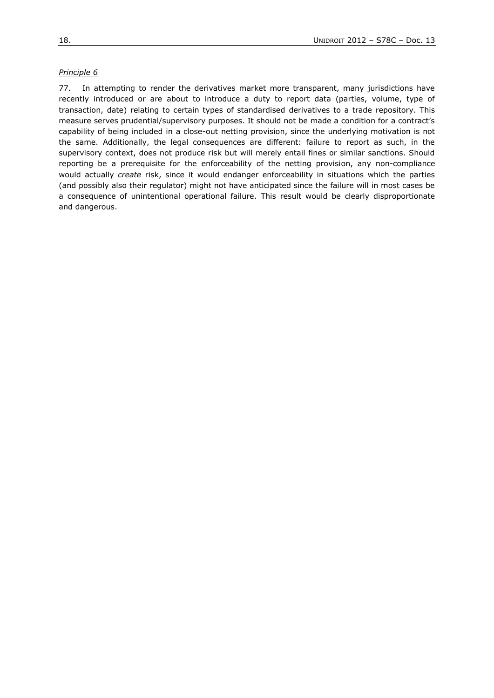#### *Principle 6*

77. In attempting to render the derivatives market more transparent, many jurisdictions have recently introduced or are about to introduce a duty to report data (parties, volume, type of transaction, date) relating to certain types of standardised derivatives to a trade repository. This measure serves prudential/supervisory purposes. It should not be made a condition for a contract's capability of being included in a close-out netting provision, since the underlying motivation is not the same. Additionally, the legal consequences are different: failure to report as such, in the supervisory context, does not produce risk but will merely entail fines or similar sanctions. Should reporting be a prerequisite for the enforceability of the netting provision, any non-compliance would actually *create* risk, since it would endanger enforceability in situations which the parties (and possibly also their regulator) might not have anticipated since the failure will in most cases be a consequence of unintentional operational failure. This result would be clearly disproportionate and dangerous.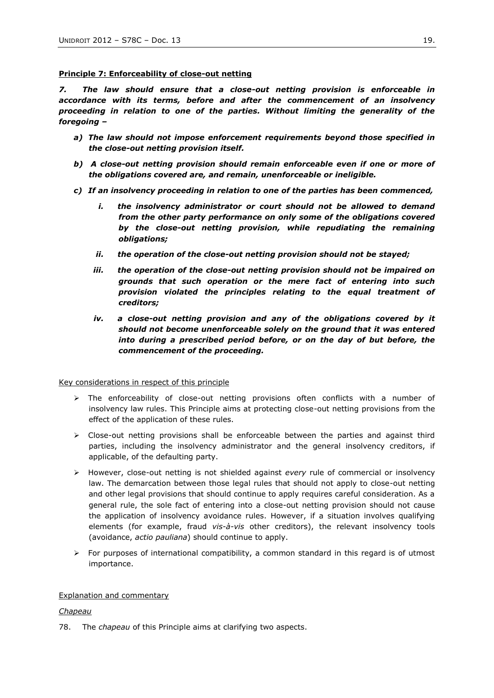### **Principle 7: Enforceability of close-out netting**

*7. The law should ensure that a close-out netting provision is enforceable in accordance with its terms, before and after the commencement of an insolvency proceeding in relation to one of the parties. Without limiting the generality of the foregoing –*

- *a) The law should not impose enforcement requirements beyond those specified in the close-out netting provision itself.*
- *b) A close-out netting provision should remain enforceable even if one or more of the obligations covered are, and remain, unenforceable or ineligible.*
- *c) If an insolvency proceeding in relation to one of the parties has been commenced,* 
	- *i. the insolvency administrator or court should not be allowed to demand from the other party performance on only some of the obligations covered by the close-out netting provision, while repudiating the remaining obligations;*
	- *ii. the operation of the close-out netting provision should not be stayed;*
	- *iii. the operation of the close-out netting provision should not be impaired on grounds that such operation or the mere fact of entering into such provision violated the principles relating to the equal treatment of creditors;*
	- *iv. a close-out netting provision and any of the obligations covered by it should not become unenforceable solely on the ground that it was entered into during a prescribed period before, or on the day of but before, the commencement of the proceeding.*

### Key considerations in respect of this principle

- $\triangleright$  The enforceability of close-out netting provisions often conflicts with a number of insolvency law rules. This Principle aims at protecting close-out netting provisions from the effect of the application of these rules.
- $\triangleright$  Close-out netting provisions shall be enforceable between the parties and against third parties, including the insolvency administrator and the general insolvency creditors, if applicable, of the defaulting party.
- However, close-out netting is not shielded against *every* rule of commercial or insolvency law. The demarcation between those legal rules that should not apply to close-out netting and other legal provisions that should continue to apply requires careful consideration. As a general rule, the sole fact of entering into a close-out netting provision should not cause the application of insolvency avoidance rules. However, if a situation involves qualifying elements (for example, fraud *vis-à-vis* other creditors), the relevant insolvency tools (avoidance, *actio pauliana*) should continue to apply.
- $\triangleright$  For purposes of international compatibility, a common standard in this regard is of utmost importance.

# Explanation and commentary

# *Chapeau*

78. The *chapeau* of this Principle aims at clarifying two aspects.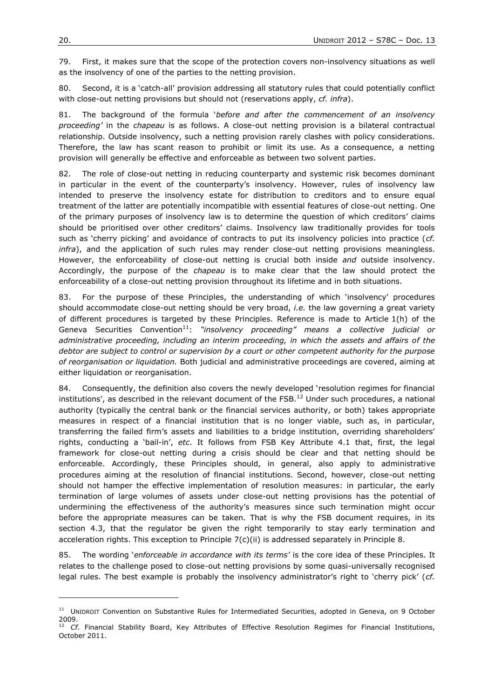79. First, it makes sure that the scope of the protection covers non-insolvency situations as well as the insolvency of one of the parties to the netting provision.

80. Second, it is a 'catch-all' provision addressing all statutory rules that could potentially conflict with close-out netting provisions but should not (reservations apply, *cf. infra*).

81. The background of the formula '*before and after the commencement of an insolvency proceeding'* in the *chapeau* is as follows. A close-out netting provision is a bilateral contractual relationship. Outside insolvency, such a netting provision rarely clashes with policy considerations. Therefore, the law has scant reason to prohibit or limit its use. As a consequence, a netting provision will generally be effective and enforceable as between two solvent parties.

82. The role of close-out netting in reducing counterparty and systemic risk becomes dominant in particular in the event of the counterparty's insolvency. However, rules of insolvency law intended to preserve the insolvency estate for distribution to creditors and to ensure equal treatment of the latter are potentially incompatible with essential features of close-out netting. One of the primary purposes of insolvency law is to determine the question of which creditors' claims should be prioritised over other creditors' claims. Insolvency law traditionally provides for tools such as 'cherry picking' and avoidance of contracts to put its insolvency policies into practice (*cf. infra*), and the application of such rules may render close-out netting provisions meaningless. However, the enforceability of close-out netting is crucial both inside *and* outside insolvency. Accordingly, the purpose of the *chapeau* is to make clear that the law should protect the enforceability of a close-out netting provision throughout its lifetime and in both situations.

83. For the purpose of these Principles, the understanding of which 'insolvency' procedures should accommodate close-out netting should be very broad, *i.e.* the law governing a great variety of different procedures is targeted by these Principles. Reference is made to Article 1(h) of the Geneva Securities Convention<sup>11</sup>: "insolvency proceeding" means a collective judicial or *administrative proceeding, including an interim proceeding, in which the assets and affairs of the debtor are subject to control or supervision by a court or other competent authority for the purpose of reorganisation or liquidation.* Both judicial and administrative proceedings are covered, aiming at either liquidation or reorganisation.

<span id="page-19-0"></span>84. Consequently, the definition also covers the newly developed 'resolution regimes for financial institutions', as described in the relevant document of the FSB.<sup>12</sup> Under such procedures, a national authority (typically the central bank or the financial services authority, or both) takes appropriate measures in respect of a financial institution that is no longer viable, such as, in particular, transferring the failed firm's assets and liabilities to a bridge institution, overriding shareholders' rights, conducting a 'bail-in', *etc*. It follows from FSB Key Attribute 4.1 that, first, the legal framework for close-out netting during a crisis should be clear and that netting should be enforceable. Accordingly, these Principles should, in general, also apply to administrative procedures aiming at the resolution of financial institutions. Second, however, close-out netting should not hamper the effective implementation of resolution measures: in particular, the early termination of large volumes of assets under close-out netting provisions has the potential of undermining the effectiveness of the authority's measures since such termination might occur before the appropriate measures can be taken. That is why the FSB document requires, in its section 4.3, that the regulator be given the right temporarily to stay early termination and acceleration rights. This exception to Principle  $7(c)$ (ii) is addressed separately in Principle 8.

85. The wording '*enforceable in accordance with its terms'* is the core idea of these Principles. It relates to the challenge posed to close-out netting provisions by some quasi-universally recognised legal rules. The best example is probably the insolvency administrator's right to 'cherry pick' (*cf.* 

1

<sup>&</sup>lt;sup>11</sup> UNIDROIT Convention on Substantive Rules for Intermediated Securities, adopted in Geneva, on 9 October 2009.

<sup>12</sup> *Cf.* Financial Stability Board, Key Attributes of Effective Resolution Regimes for Financial Institutions, October 2011.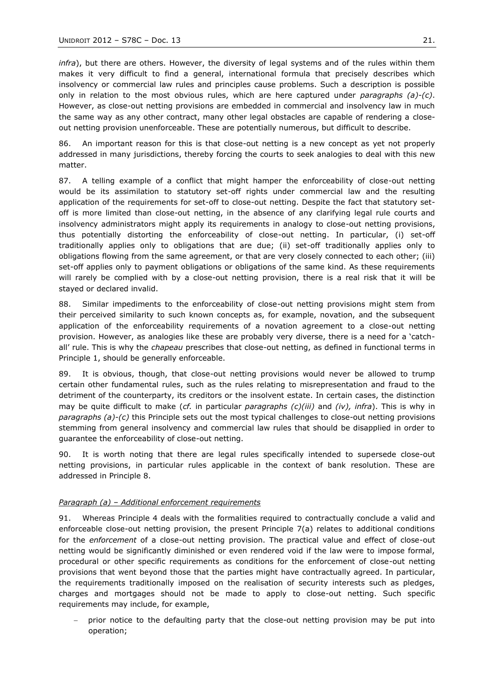*infra*), but there are others. However, the diversity of legal systems and of the rules within them makes it very difficult to find a general, international formula that precisely describes which insolvency or commercial law rules and principles cause problems. Such a description is possible only in relation to the most obvious rules, which are here captured under *paragraphs (a)-(c)*. However, as close-out netting provisions are embedded in commercial and insolvency law in much the same way as any other contract, many other legal obstacles are capable of rendering a closeout netting provision unenforceable. These are potentially numerous, but difficult to describe.

86. An important reason for this is that close-out netting is a new concept as yet not properly addressed in many jurisdictions, thereby forcing the courts to seek analogies to deal with this new matter.

87. A telling example of a conflict that might hamper the enforceability of close-out netting would be its assimilation to statutory set-off rights under commercial law and the resulting application of the requirements for set-off to close-out netting. Despite the fact that statutory setoff is more limited than close-out netting, in the absence of any clarifying legal rule courts and insolvency administrators might apply its requirements in analogy to close-out netting provisions, thus potentially distorting the enforceability of close-out netting. In particular, (i) set-off traditionally applies only to obligations that are due; (ii) set-off traditionally applies only to obligations flowing from the same agreement, or that are very closely connected to each other; (iii) set-off applies only to payment obligations or obligations of the same kind. As these requirements will rarely be complied with by a close-out netting provision, there is a real risk that it will be stayed or declared invalid.

88. Similar impediments to the enforceability of close-out netting provisions might stem from their perceived similarity to such known concepts as, for example, novation, and the subsequent application of the enforceability requirements of a novation agreement to a close-out netting provision. However, as analogies like these are probably very diverse, there is a need for a 'catchall' rule. This is why the *chapeau* prescribes that close-out netting, as defined in functional terms in Principle 1, should be generally enforceable.

89. It is obvious, though, that close-out netting provisions would never be allowed to trump certain other fundamental rules, such as the rules relating to misrepresentation and fraud to the detriment of the counterparty, its creditors or the insolvent estate. In certain cases, the distinction may be quite difficult to make (*cf.* in particular *paragraphs (c)(iii)* and *(iv), infra*). This is why in *paragraphs (a)-(c)* this Principle sets out the most typical challenges to close-out netting provisions stemming from general insolvency and commercial law rules that should be disapplied in order to guarantee the enforceability of close-out netting.

90. It is worth noting that there are legal rules specifically intended to supersede close-out netting provisions, in particular rules applicable in the context of bank resolution. These are addressed in Principle 8.

# *Paragraph (a) – Additional enforcement requirements*

91. Whereas Principle 4 deals with the formalities required to contractually conclude a valid and enforceable close-out netting provision, the present Principle 7(a) relates to additional conditions for the *enforcement* of a close-out netting provision. The practical value and effect of close-out netting would be significantly diminished or even rendered void if the law were to impose formal, procedural or other specific requirements as conditions for the enforcement of close-out netting provisions that went beyond those that the parties might have contractually agreed. In particular, the requirements traditionally imposed on the realisation of security interests such as pledges, charges and mortgages should not be made to apply to close-out netting. Such specific requirements may include, for example,

 prior notice to the defaulting party that the close-out netting provision may be put into operation;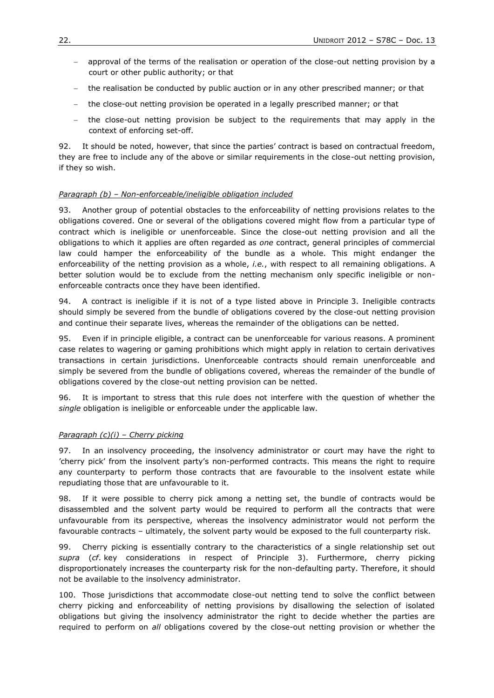- approval of the terms of the realisation or operation of the close-out netting provision by a court or other public authority; or that
- the realisation be conducted by public auction or in any other prescribed manner; or that
- the close-out netting provision be operated in a legally prescribed manner; or that
- the close-out netting provision be subject to the requirements that may apply in the context of enforcing set-off.

92. It should be noted, however, that since the parties' contract is based on contractual freedom, they are free to include any of the above or similar requirements in the close-out netting provision, if they so wish.

### *Paragraph (b) – Non-enforceable/ineligible obligation included*

93. Another group of potential obstacles to the enforceability of netting provisions relates to the obligations covered. One or several of the obligations covered might flow from a particular type of contract which is ineligible or unenforceable. Since the close-out netting provision and all the obligations to which it applies are often regarded as *one* contract, general principles of commercial law could hamper the enforceability of the bundle as a whole. This might endanger the enforceability of the netting provision as a whole, *i.e.*, with respect to all remaining obligations. A better solution would be to exclude from the netting mechanism only specific ineligible or nonenforceable contracts once they have been identified.

94. A contract is ineligible if it is not of a type listed above in Principle 3. Ineligible contracts should simply be severed from the bundle of obligations covered by the close-out netting provision and continue their separate lives, whereas the remainder of the obligations can be netted.

95. Even if in principle eligible, a contract can be unenforceable for various reasons. A prominent case relates to wagering or gaming prohibitions which might apply in relation to certain derivatives transactions in certain jurisdictions. Unenforceable contracts should remain unenforceable and simply be severed from the bundle of obligations covered, whereas the remainder of the bundle of obligations covered by the close-out netting provision can be netted.

96. It is important to stress that this rule does not interfere with the question of whether the *single* obligation is ineligible or enforceable under the applicable law.

### *Paragraph (c)(i) – Cherry picking*

97. In an insolvency proceeding, the insolvency administrator or court may have the right to 'cherry pick' from the insolvent party's non-performed contracts. This means the right to require any counterparty to perform those contracts that are favourable to the insolvent estate while repudiating those that are unfavourable to it.

98. If it were possible to cherry pick among a netting set, the bundle of contracts would be disassembled and the solvent party would be required to perform all the contracts that were unfavourable from its perspective, whereas the insolvency administrator would not perform the favourable contracts – ultimately, the solvent party would be exposed to the full counterparty risk.

99. Cherry picking is essentially contrary to the characteristics of a single relationship set out *supra* (*cf*. key considerations in respect of Principle 3). Furthermore, cherry picking disproportionately increases the counterparty risk for the non-defaulting party. Therefore, it should not be available to the insolvency administrator.

100. Those jurisdictions that accommodate close-out netting tend to solve the conflict between cherry picking and enforceability of netting provisions by disallowing the selection of isolated obligations but giving the insolvency administrator the right to decide whether the parties are required to perform on *all* obligations covered by the close-out netting provision or whether the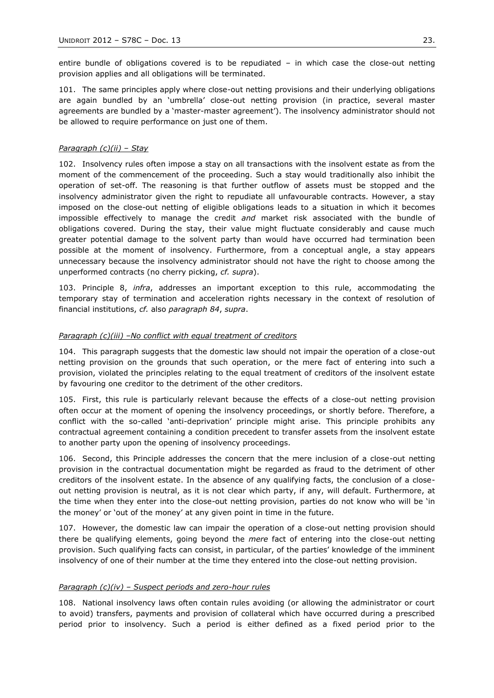entire bundle of obligations covered is to be repudiated – in which case the close-out netting provision applies and all obligations will be terminated.

101. The same principles apply where close-out netting provisions and their underlying obligations are again bundled by an 'umbrella' close-out netting provision (in practice, several master agreements are bundled by a 'master-master agreement'). The insolvency administrator should not be allowed to require performance on just one of them.

### *Paragraph (c)(ii) – Stay*

102. Insolvency rules often impose a stay on all transactions with the insolvent estate as from the moment of the commencement of the proceeding. Such a stay would traditionally also inhibit the operation of set-off. The reasoning is that further outflow of assets must be stopped and the insolvency administrator given the right to repudiate all unfavourable contracts. However, a stay imposed on the close-out netting of eligible obligations leads to a situation in which it becomes impossible effectively to manage the credit *and* market risk associated with the bundle of obligations covered. During the stay, their value might fluctuate considerably and cause much greater potential damage to the solvent party than would have occurred had termination been possible at the moment of insolvency. Furthermore, from a conceptual angle, a stay appears unnecessary because the insolvency administrator should not have the right to choose among the unperformed contracts (no cherry picking, *cf. supra*).

103. Principle 8, *infra*, addresses an important exception to this rule, accommodating the temporary stay of termination and acceleration rights necessary in the context of resolution of financial institutions, *cf.* also *paragraph [84](#page-19-0)*, *supra*.

#### *Paragraph (c)(iii) –No conflict with equal treatment of creditors*

104. This paragraph suggests that the domestic law should not impair the operation of a close-out netting provision on the grounds that such operation, or the mere fact of entering into such a provision, violated the principles relating to the equal treatment of creditors of the insolvent estate by favouring one creditor to the detriment of the other creditors.

105. First, this rule is particularly relevant because the effects of a close-out netting provision often occur at the moment of opening the insolvency proceedings, or shortly before. Therefore, a conflict with the so-called 'anti-deprivation' principle might arise. This principle prohibits any contractual agreement containing a condition precedent to transfer assets from the insolvent estate to another party upon the opening of insolvency proceedings.

106. Second, this Principle addresses the concern that the mere inclusion of a close-out netting provision in the contractual documentation might be regarded as fraud to the detriment of other creditors of the insolvent estate. In the absence of any qualifying facts, the conclusion of a closeout netting provision is neutral, as it is not clear which party, if any, will default. Furthermore, at the time when they enter into the close-out netting provision, parties do not know who will be 'in the money' or 'out of the money' at any given point in time in the future.

107. However, the domestic law can impair the operation of a close-out netting provision should there be qualifying elements, going beyond the *mere* fact of entering into the close-out netting provision. Such qualifying facts can consist, in particular, of the parties' knowledge of the imminent insolvency of one of their number at the time they entered into the close-out netting provision.

#### *Paragraph (c)(iv) – Suspect periods and zero-hour rules*

108. National insolvency laws often contain rules avoiding (or allowing the administrator or court to avoid) transfers, payments and provision of collateral which have occurred during a prescribed period prior to insolvency. Such a period is either defined as a fixed period prior to the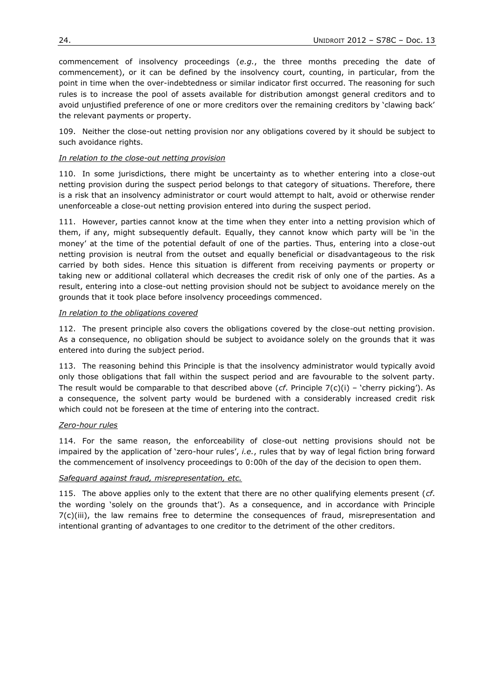commencement of insolvency proceedings (*e.g.*, the three months preceding the date of commencement), or it can be defined by the insolvency court, counting, in particular, from the point in time when the over-indebtedness or similar indicator first occurred. The reasoning for such rules is to increase the pool of assets available for distribution amongst general creditors and to avoid unjustified preference of one or more creditors over the remaining creditors by 'clawing back' the relevant payments or property.

109. Neither the close-out netting provision nor any obligations covered by it should be subject to such avoidance rights.

### *In relation to the close-out netting provision*

110. In some jurisdictions, there might be uncertainty as to whether entering into a close-out netting provision during the suspect period belongs to that category of situations. Therefore, there is a risk that an insolvency administrator or court would attempt to halt, avoid or otherwise render unenforceable a close-out netting provision entered into during the suspect period.

111. However, parties cannot know at the time when they enter into a netting provision which of them, if any, might subsequently default. Equally, they cannot know which party will be 'in the money' at the time of the potential default of one of the parties. Thus, entering into a close-out netting provision is neutral from the outset and equally beneficial or disadvantageous to the risk carried by both sides. Hence this situation is different from receiving payments or property or taking new or additional collateral which decreases the credit risk of only one of the parties. As a result, entering into a close-out netting provision should not be subject to avoidance merely on the grounds that it took place before insolvency proceedings commenced.

### *In relation to the obligations covered*

112. The present principle also covers the obligations covered by the close-out netting provision. As a consequence, no obligation should be subject to avoidance solely on the grounds that it was entered into during the subject period.

113. The reasoning behind this Principle is that the insolvency administrator would typically avoid only those obligations that fall within the suspect period and are favourable to the solvent party. The result would be comparable to that described above (*cf*. Principle 7(c)(i) – 'cherry picking'). As a consequence, the solvent party would be burdened with a considerably increased credit risk which could not be foreseen at the time of entering into the contract.

# *Zero-hour rules*

114. For the same reason, the enforceability of close-out netting provisions should not be impaired by the application of 'zero-hour rules', *i.e.*, rules that by way of legal fiction bring forward the commencement of insolvency proceedings to 0:00h of the day of the decision to open them.

# *Safeguard against fraud, misrepresentation, etc.*

115. The above applies only to the extent that there are no other qualifying elements present (*cf*. the wording 'solely on the grounds that'). As a consequence, and in accordance with Principle  $7(c)$ (iii), the law remains free to determine the consequences of fraud, misrepresentation and intentional granting of advantages to one creditor to the detriment of the other creditors.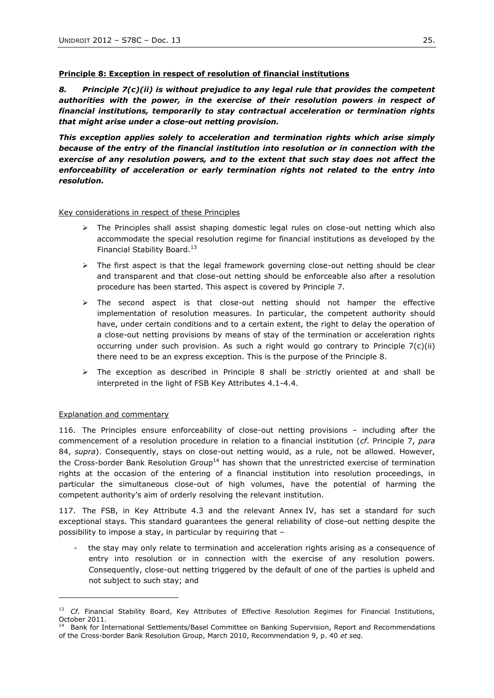### **Principle 8: Exception in respect of resolution of financial institutions**

*8. Principle 7(c)(ii) is without prejudice to any legal rule that provides the competent authorities with the power, in the exercise of their resolution powers in respect of financial institutions, temporarily to stay contractual acceleration or termination rights that might arise under a close-out netting provision.*

*This exception applies solely to acceleration and termination rights which arise simply because of the entry of the financial institution into resolution or in connection with the exercise of any resolution powers, and to the extent that such stay does not affect the enforceability of acceleration or early termination rights not related to the entry into resolution.*

### Key considerations in respect of these Principles

- $\triangleright$  The Principles shall assist shaping domestic legal rules on close-out netting which also accommodate the special resolution regime for financial institutions as developed by the Financial Stability Board.<sup>13</sup>
- > The first aspect is that the legal framework governing close-out netting should be clear and transparent and that close-out netting should be enforceable also after a resolution procedure has been started. This aspect is covered by Principle 7.
- $\triangleright$  The second aspect is that close-out netting should not hamper the effective implementation of resolution measures. In particular, the competent authority should have, under certain conditions and to a certain extent, the right to delay the operation of a close-out netting provisions by means of stay of the termination or acceleration rights occurring under such provision. As such a right would go contrary to Principle  $7(c)(ii)$ there need to be an express exception. This is the purpose of the Principle 8.
- $\triangleright$  The exception as described in Principle 8 shall be strictly oriented at and shall be interpreted in the light of FSB Key Attributes 4.1-4.4.

# Explanation and commentary

1

116. The Principles ensure enforceability of close-out netting provisions – including after the commencement of a resolution procedure in relation to a financial institution (*cf*. Principle 7, *para* [84,](#page-19-0) *supra*). Consequently, stays on close-out netting would, as a rule, not be allowed. However, the Cross-border Bank Resolution Group<sup>14</sup> has shown that the unrestricted exercise of termination rights at the occasion of the entering of a financial institution into resolution proceedings, in particular the simultaneous close-out of high volumes, have the potential of harming the competent authority's aim of orderly resolving the relevant institution.

117. The FSB, in Key Attribute 4.3 and the relevant Annex IV, has set a standard for such exceptional stays. This standard guarantees the general reliability of close-out netting despite the possibility to impose a stay, in particular by requiring that –

the stay may only relate to termination and acceleration rights arising as a consequence of entry into resolution or in connection with the exercise of any resolution powers. Consequently, close-out netting triggered by the default of one of the parties is upheld and not subject to such stay; and

<sup>&</sup>lt;sup>13</sup> *Cf.* Financial Stability Board, Key Attributes of Effective Resolution Regimes for Financial Institutions, October 2011.

<sup>&</sup>lt;sup>14</sup> Bank for International Settlements/Basel Committee on Banking Supervision, Report and Recommendations of the Cross-border Bank Resolution Group, March 2010, Recommendation 9, p. 40 *et seq.*